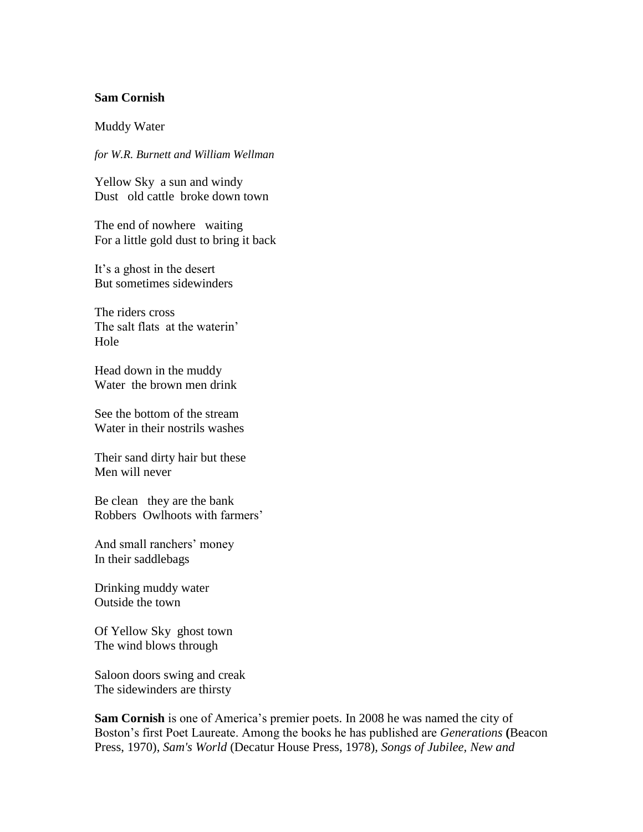## **Sam Cornish**

Muddy Water

*for W.R. Burnett and William Wellman*

Yellow Sky a sun and windy Dust old cattle broke down town

The end of nowhere waiting For a little gold dust to bring it back

It's a ghost in the desert But sometimes sidewinders

The riders cross The salt flats at the waterin' Hole

Head down in the muddy Water the brown men drink

See the bottom of the stream Water in their nostrils washes

Their sand dirty hair but these Men will never

Be clean they are the bank Robbers Owlhoots with farmers'

And small ranchers' money In their saddlebags

Drinking muddy water Outside the town

Of Yellow Sky ghost town The wind blows through

Saloon doors swing and creak The sidewinders are thirsty

**Sam Cornish** is one of America's premier poets. In 2008 he was named the city of Boston's first Poet Laureate. Among the books he has published are *Generations* **(**Beacon Press, 1970), *Sam's World* (Decatur House Press, 1978), *Songs of Jubilee, New and*